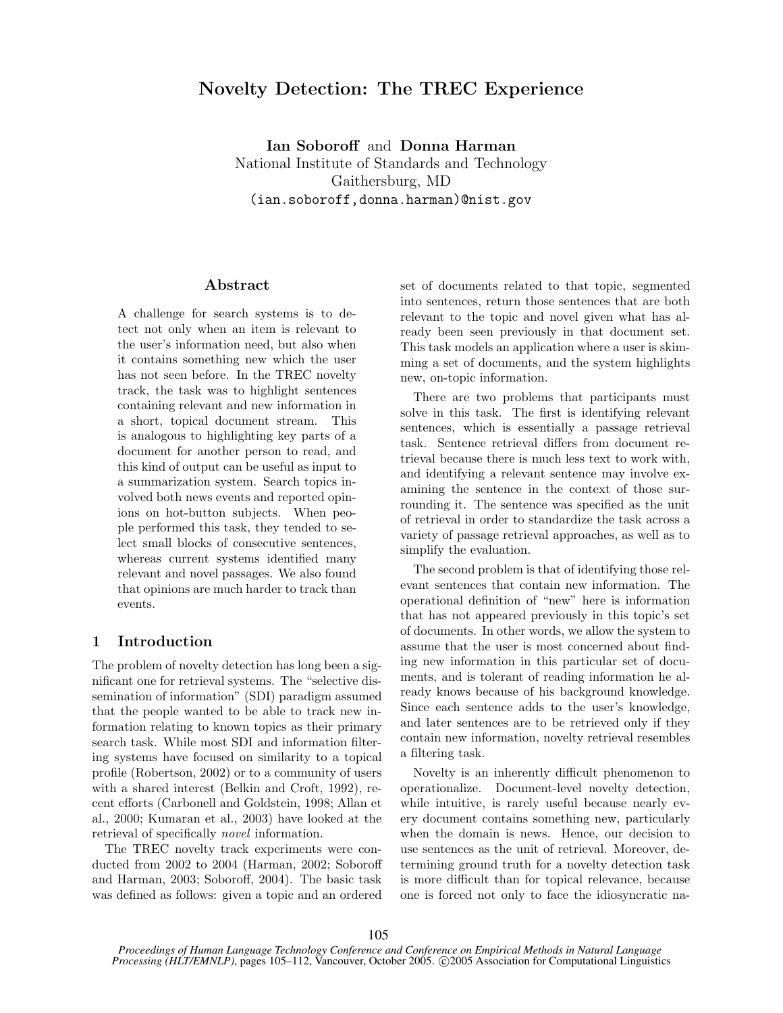# Novelty Detection: The TREC Experience

Ian Soboroff and Donna Harman National Institute of Standards and Technology Gaithersburg, MD (ian.soboroff,donna.harman)@nist.gov

#### Abstract

A challenge for search systems is to detect not only when an item is relevant to the user's information need, but also when it contains something new which the user has not seen before. In the TREC novelty track, the task was to highlight sentences containing relevant and new information in a short, topical document stream. This is analogous to highlighting key parts of a document for another person to read, and this kind of output can be useful as input to a summarization system. Search topics involved both news events and reported opinions on hot-button subjects. When people performed this task, they tended to select small blocks of consecutive sentences, whereas current systems identified many relevant and novel passages. We also found that opinions are much harder to track than events.

### 1 Introduction

The problem of novelty detection has long been a significant one for retrieval systems. The "selective dissemination of information" (SDI) paradigm assumed that the people wanted to be able to track new information relating to known topics as their primary search task. While most SDI and information filtering systems have focused on similarity to a topical profile (Robertson, 2002) or to a community of users with a shared interest (Belkin and Croft, 1992), recent efforts (Carbonell and Goldstein, 1998; Allan et al., 2000; Kumaran et al., 2003) have looked at the retrieval of specifically novel information.

The TREC novelty track experiments were conducted from 2002 to 2004 (Harman, 2002; Soboroff and Harman, 2003; Soboroff, 2004). The basic task was defined as follows: given a topic and an ordered

set of documents related to that topic, segmented into sentences, return those sentences that are both relevant to the topic and novel given what has already been seen previously in that document set. This task models an application where a user is skimming a set of documents, and the system highlights new, on-topic information.

There are two problems that participants must solve in this task. The first is identifying relevant sentences, which is essentially a passage retrieval task. Sentence retrieval differs from document retrieval because there is much less text to work with, and identifying a relevant sentence may involve examining the sentence in the context of those surrounding it. The sentence was specified as the unit of retrieval in order to standardize the task across a variety of passage retrieval approaches, as well as to simplify the evaluation.

The second problem is that of identifying those relevant sentences that contain new information. The operational definition of "new" here is information that has not appeared previously in this topic's set of documents. In other words, we allow the system to assume that the user is most concerned about finding new information in this particular set of documents, and is tolerant of reading information he already knows because of his background knowledge. Since each sentence adds to the user's knowledge, and later sentences are to be retrieved only if they contain new information, novelty retrieval resembles a filtering task.

Novelty is an inherently difficult phenomenon to operationalize. Document-level novelty detection, while intuitive, is rarely useful because nearly every document contains something new, particularly when the domain is news. Hence, our decision to use sentences as the unit of retrieval. Moreover, determining ground truth for a novelty detection task is more difficult than for topical relevance, because one is forced not only to face the idiosyncratic na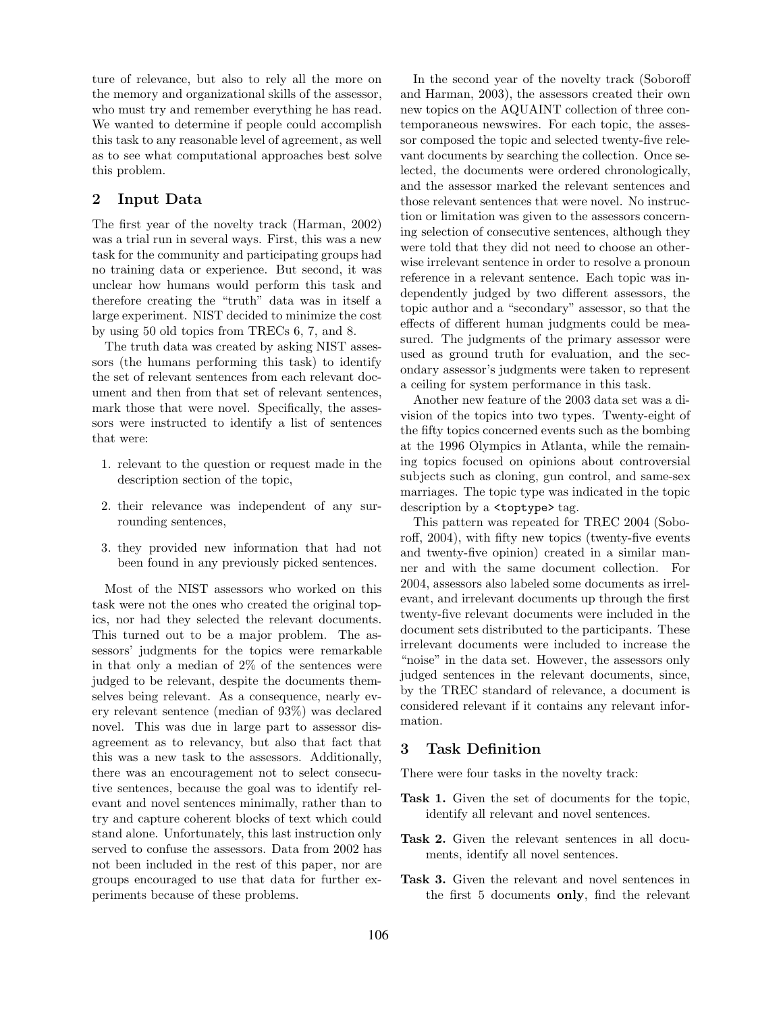ture of relevance, but also to rely all the more on the memory and organizational skills of the assessor, who must try and remember everything he has read. We wanted to determine if people could accomplish this task to any reasonable level of agreement, as well as to see what computational approaches best solve this problem.

## 2 Input Data

The first year of the novelty track (Harman, 2002) was a trial run in several ways. First, this was a new task for the community and participating groups had no training data or experience. But second, it was unclear how humans would perform this task and therefore creating the "truth" data was in itself a large experiment. NIST decided to minimize the cost by using 50 old topics from TRECs 6, 7, and 8.

The truth data was created by asking NIST assessors (the humans performing this task) to identify the set of relevant sentences from each relevant document and then from that set of relevant sentences, mark those that were novel. Specifically, the assessors were instructed to identify a list of sentences that were:

- 1. relevant to the question or request made in the description section of the topic,
- 2. their relevance was independent of any surrounding sentences,
- 3. they provided new information that had not been found in any previously picked sentences.

Most of the NIST assessors who worked on this task were not the ones who created the original topics, nor had they selected the relevant documents. This turned out to be a major problem. The assessors' judgments for the topics were remarkable in that only a median of 2% of the sentences were judged to be relevant, despite the documents themselves being relevant. As a consequence, nearly every relevant sentence (median of 93%) was declared novel. This was due in large part to assessor disagreement as to relevancy, but also that fact that this was a new task to the assessors. Additionally, there was an encouragement not to select consecutive sentences, because the goal was to identify relevant and novel sentences minimally, rather than to try and capture coherent blocks of text which could stand alone. Unfortunately, this last instruction only served to confuse the assessors. Data from 2002 has not been included in the rest of this paper, nor are groups encouraged to use that data for further experiments because of these problems.

In the second year of the novelty track (Soboroff and Harman, 2003), the assessors created their own new topics on the AQUAINT collection of three contemporaneous newswires. For each topic, the assessor composed the topic and selected twenty-five relevant documents by searching the collection. Once selected, the documents were ordered chronologically, and the assessor marked the relevant sentences and those relevant sentences that were novel. No instruction or limitation was given to the assessors concerning selection of consecutive sentences, although they were told that they did not need to choose an otherwise irrelevant sentence in order to resolve a pronoun reference in a relevant sentence. Each topic was independently judged by two different assessors, the topic author and a "secondary" assessor, so that the effects of different human judgments could be measured. The judgments of the primary assessor were used as ground truth for evaluation, and the secondary assessor's judgments were taken to represent a ceiling for system performance in this task.

Another new feature of the 2003 data set was a division of the topics into two types. Twenty-eight of the fifty topics concerned events such as the bombing at the 1996 Olympics in Atlanta, while the remaining topics focused on opinions about controversial subjects such as cloning, gun control, and same-sex marriages. The topic type was indicated in the topic description by a <toptype> tag.

This pattern was repeated for TREC 2004 (Soboroff, 2004), with fifty new topics (twenty-five events and twenty-five opinion) created in a similar manner and with the same document collection. For 2004, assessors also labeled some documents as irrelevant, and irrelevant documents up through the first twenty-five relevant documents were included in the document sets distributed to the participants. These irrelevant documents were included to increase the "noise" in the data set. However, the assessors only judged sentences in the relevant documents, since, by the TREC standard of relevance, a document is considered relevant if it contains any relevant information.

### 3 Task Definition

There were four tasks in the novelty track:

- Task 1. Given the set of documents for the topic, identify all relevant and novel sentences.
- Task 2. Given the relevant sentences in all documents, identify all novel sentences.
- Task 3. Given the relevant and novel sentences in the first 5 documents only, find the relevant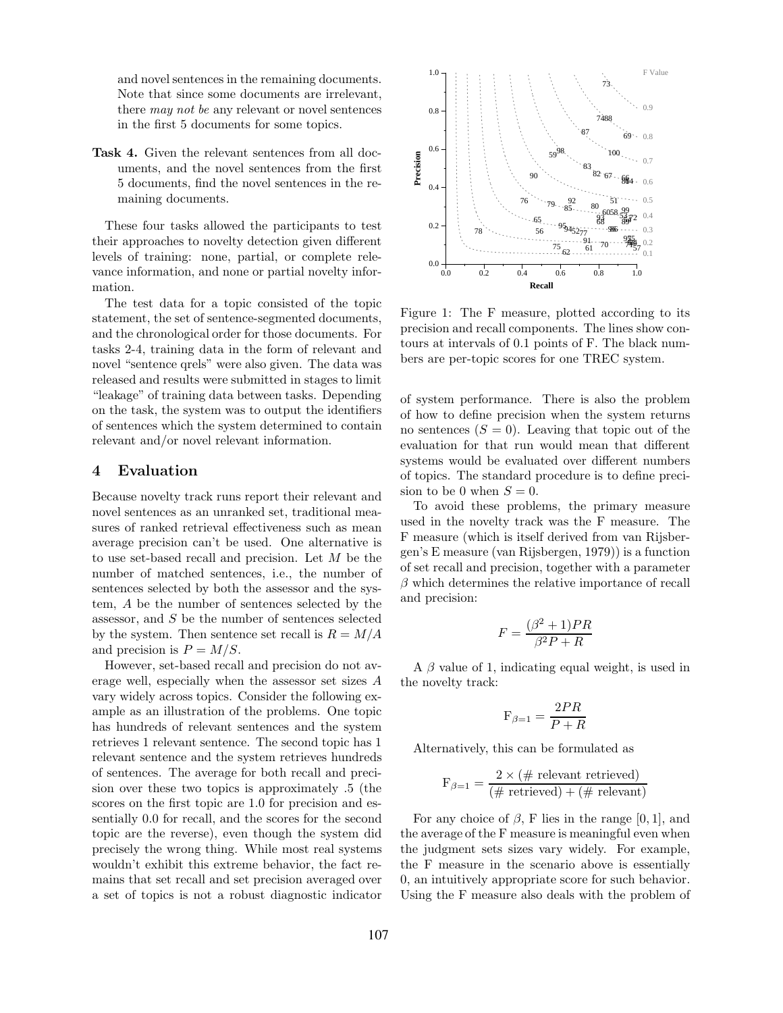and novel sentences in the remaining documents. Note that since some documents are irrelevant, there may not be any relevant or novel sentences in the first 5 documents for some topics.

Task 4. Given the relevant sentences from all documents, and the novel sentences from the first 5 documents, find the novel sentences in the remaining documents.

These four tasks allowed the participants to test their approaches to novelty detection given different levels of training: none, partial, or complete relevance information, and none or partial novelty information.

The test data for a topic consisted of the topic statement, the set of sentence-segmented documents, and the chronological order for those documents. For tasks 2-4, training data in the form of relevant and novel "sentence qrels" were also given. The data was released and results were submitted in stages to limit "leakage" of training data between tasks. Depending on the task, the system was to output the identifiers of sentences which the system determined to contain relevant and/or novel relevant information.

## 4 Evaluation

Because novelty track runs report their relevant and novel sentences as an unranked set, traditional measures of ranked retrieval effectiveness such as mean average precision can't be used. One alternative is to use set-based recall and precision. Let M be the number of matched sentences, i.e., the number of sentences selected by both the assessor and the system, A be the number of sentences selected by the assessor, and S be the number of sentences selected by the system. Then sentence set recall is  $R = M/A$ and precision is  $P = M/S$ .

However, set-based recall and precision do not average well, especially when the assessor set sizes A vary widely across topics. Consider the following example as an illustration of the problems. One topic has hundreds of relevant sentences and the system retrieves 1 relevant sentence. The second topic has 1 relevant sentence and the system retrieves hundreds of sentences. The average for both recall and precision over these two topics is approximately .5 (the scores on the first topic are 1.0 for precision and essentially 0.0 for recall, and the scores for the second topic are the reverse), even though the system did precisely the wrong thing. While most real systems wouldn't exhibit this extreme behavior, the fact remains that set recall and set precision averaged over a set of topics is not a robust diagnostic indicator



Figure 1: The F measure, plotted according to its precision and recall components. The lines show contours at intervals of 0.1 points of F. The black numbers are per-topic scores for one TREC system.

of system performance. There is also the problem of how to define precision when the system returns no sentences  $(S = 0)$ . Leaving that topic out of the evaluation for that run would mean that different systems would be evaluated over different numbers of topics. The standard procedure is to define precision to be 0 when  $S = 0$ .

To avoid these problems, the primary measure used in the novelty track was the F measure. The F measure (which is itself derived from van Rijsbergen's E measure (van Rijsbergen, 1979)) is a function of set recall and precision, together with a parameter  $\beta$  which determines the relative importance of recall and precision:

$$
F = \frac{(\beta^2 + 1)PR}{\beta^2 P + R}
$$

A  $\beta$  value of 1, indicating equal weight, is used in the novelty track:

$$
\mathbf{F}_{\beta=1}=\frac{2PR}{P+R}
$$

Alternatively, this can be formulated as

$$
F_{\beta=1} = \frac{2 \times (\# \text{ relevant retrieved})}{(\# \text{ retrieved}) + (\# \text{ relevant})}
$$

For any choice of  $\beta$ , F lies in the range [0, 1], and the average of the F measure is meaningful even when the judgment sets sizes vary widely. For example, the F measure in the scenario above is essentially 0, an intuitively appropriate score for such behavior. Using the F measure also deals with the problem of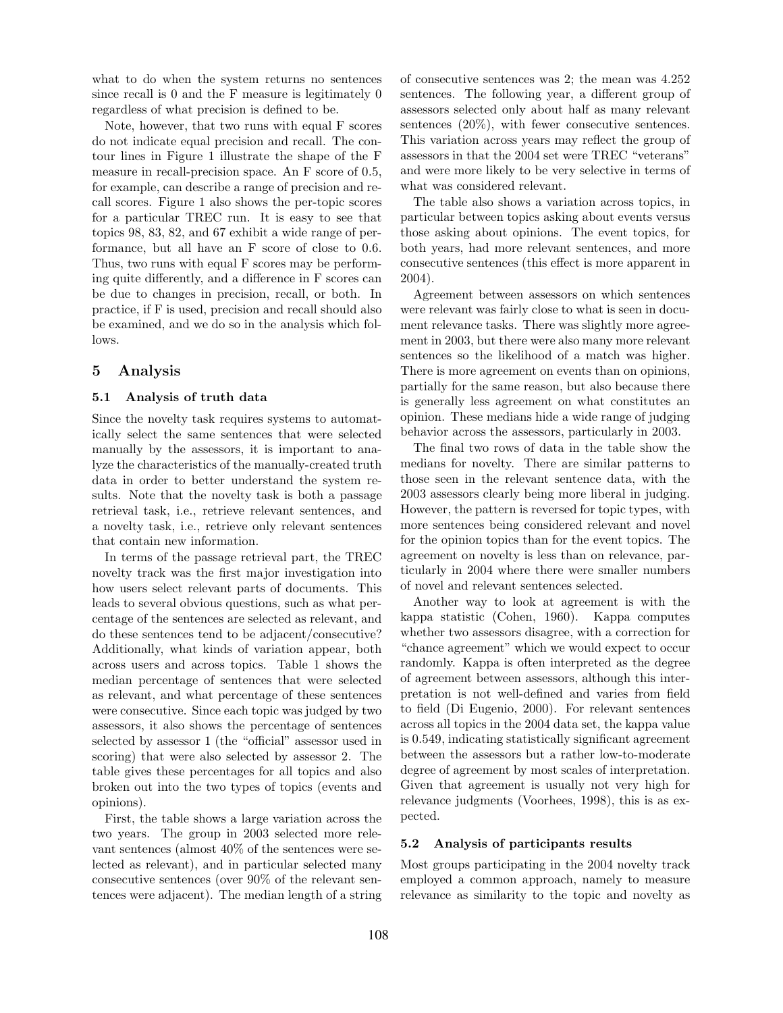what to do when the system returns no sentences since recall is 0 and the F measure is legitimately 0 regardless of what precision is defined to be.

Note, however, that two runs with equal F scores do not indicate equal precision and recall. The contour lines in Figure 1 illustrate the shape of the F measure in recall-precision space. An F score of 0.5, for example, can describe a range of precision and recall scores. Figure 1 also shows the per-topic scores for a particular TREC run. It is easy to see that topics 98, 83, 82, and 67 exhibit a wide range of performance, but all have an F score of close to 0.6. Thus, two runs with equal F scores may be performing quite differently, and a difference in F scores can be due to changes in precision, recall, or both. In practice, if F is used, precision and recall should also be examined, and we do so in the analysis which follows.

#### 5 Analysis

#### 5.1 Analysis of truth data

Since the novelty task requires systems to automatically select the same sentences that were selected manually by the assessors, it is important to analyze the characteristics of the manually-created truth data in order to better understand the system results. Note that the novelty task is both a passage retrieval task, i.e., retrieve relevant sentences, and a novelty task, i.e., retrieve only relevant sentences that contain new information.

In terms of the passage retrieval part, the TREC novelty track was the first major investigation into how users select relevant parts of documents. This leads to several obvious questions, such as what percentage of the sentences are selected as relevant, and do these sentences tend to be adjacent/consecutive? Additionally, what kinds of variation appear, both across users and across topics. Table 1 shows the median percentage of sentences that were selected as relevant, and what percentage of these sentences were consecutive. Since each topic was judged by two assessors, it also shows the percentage of sentences selected by assessor 1 (the "official" assessor used in scoring) that were also selected by assessor 2. The table gives these percentages for all topics and also broken out into the two types of topics (events and opinions).

First, the table shows a large variation across the two years. The group in 2003 selected more relevant sentences (almost 40% of the sentences were selected as relevant), and in particular selected many consecutive sentences (over 90% of the relevant sentences were adjacent). The median length of a string of consecutive sentences was 2; the mean was 4.252 sentences. The following year, a different group of assessors selected only about half as many relevant sentences (20%), with fewer consecutive sentences. This variation across years may reflect the group of assessors in that the 2004 set were TREC "veterans" and were more likely to be very selective in terms of what was considered relevant.

The table also shows a variation across topics, in particular between topics asking about events versus those asking about opinions. The event topics, for both years, had more relevant sentences, and more consecutive sentences (this effect is more apparent in 2004).

Agreement between assessors on which sentences were relevant was fairly close to what is seen in document relevance tasks. There was slightly more agreement in 2003, but there were also many more relevant sentences so the likelihood of a match was higher. There is more agreement on events than on opinions, partially for the same reason, but also because there is generally less agreement on what constitutes an opinion. These medians hide a wide range of judging behavior across the assessors, particularly in 2003.

The final two rows of data in the table show the medians for novelty. There are similar patterns to those seen in the relevant sentence data, with the 2003 assessors clearly being more liberal in judging. However, the pattern is reversed for topic types, with more sentences being considered relevant and novel for the opinion topics than for the event topics. The agreement on novelty is less than on relevance, particularly in 2004 where there were smaller numbers of novel and relevant sentences selected.

Another way to look at agreement is with the kappa statistic (Cohen, 1960). Kappa computes whether two assessors disagree, with a correction for "chance agreement" which we would expect to occur randomly. Kappa is often interpreted as the degree of agreement between assessors, although this interpretation is not well-defined and varies from field to field (Di Eugenio, 2000). For relevant sentences across all topics in the 2004 data set, the kappa value is 0.549, indicating statistically significant agreement between the assessors but a rather low-to-moderate degree of agreement by most scales of interpretation. Given that agreement is usually not very high for relevance judgments (Voorhees, 1998), this is as expected.

#### 5.2 Analysis of participants results

Most groups participating in the 2004 novelty track employed a common approach, namely to measure relevance as similarity to the topic and novelty as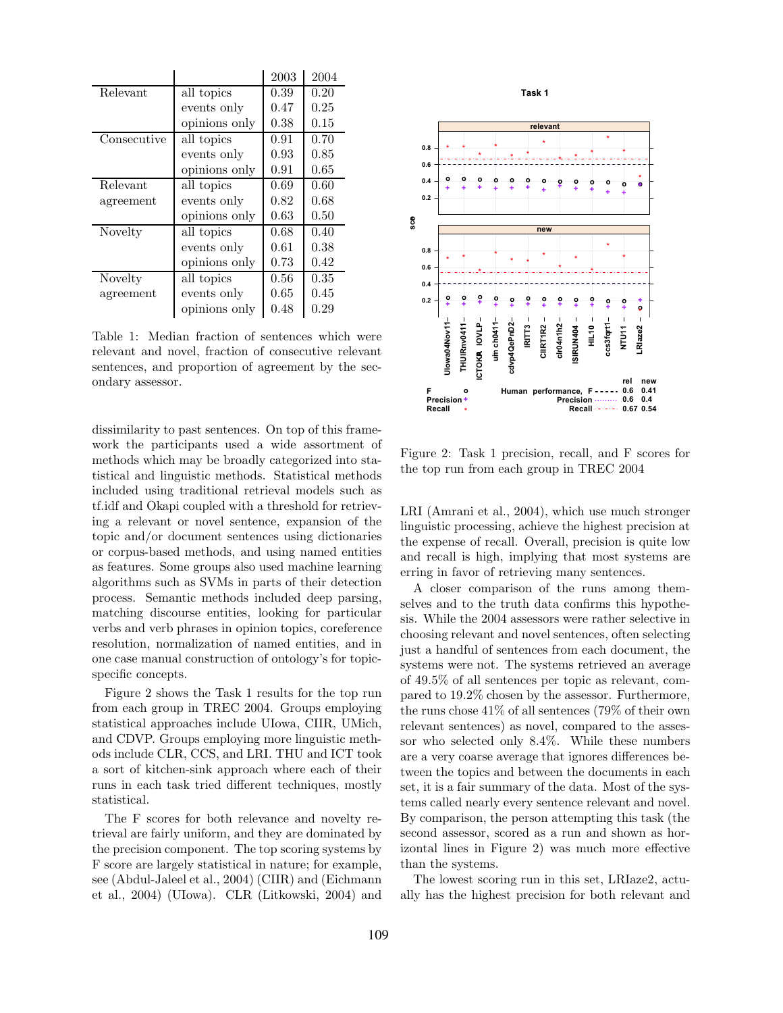|             |               | 2003 | 2004 |
|-------------|---------------|------|------|
| Relevant    | all topics    | 0.39 | 0.20 |
|             | events only   | 0.47 | 0.25 |
|             | opinions only | 0.38 | 0.15 |
| Consecutive | all topics    | 0.91 | 0.70 |
|             | events only   | 0.93 | 0.85 |
|             | opinions only | 0.91 | 0.65 |
| Relevant    | all topics    | 0.69 | 0.60 |
| agreement   | events only   | 0.82 | 0.68 |
|             | opinions only | 0.63 | 0.50 |
| Novelty     | all topics    | 0.68 | 0.40 |
|             | events only   | 0.61 | 0.38 |
|             | opinions only | 0.73 | 0.42 |
| Novelty     | all topics    | 0.56 | 0.35 |
| agreement   | events only   | 0.65 | 0.45 |
|             | opinions only | 0.48 | 0.29 |

Table 1: Median fraction of sentences which were relevant and novel, fraction of consecutive relevant sentences, and proportion of agreement by the secondary assessor.

dissimilarity to past sentences. On top of this framework the participants used a wide assortment of methods which may be broadly categorized into statistical and linguistic methods. Statistical methods included using traditional retrieval models such as tf.idf and Okapi coupled with a threshold for retrieving a relevant or novel sentence, expansion of the topic and/or document sentences using dictionaries or corpus-based methods, and using named entities as features. Some groups also used machine learning algorithms such as SVMs in parts of their detection process. Semantic methods included deep parsing, matching discourse entities, looking for particular verbs and verb phrases in opinion topics, coreference resolution, normalization of named entities, and in one case manual construction of ontology's for topicspecific concepts.

Figure 2 shows the Task 1 results for the top run from each group in TREC 2004. Groups employing statistical approaches include UIowa, CIIR, UMich, and CDVP. Groups employing more linguistic methods include CLR, CCS, and LRI. THU and ICT took a sort of kitchen-sink approach where each of their runs in each task tried different techniques, mostly statistical.

The F scores for both relevance and novelty retrieval are fairly uniform, and they are dominated by the precision component. The top scoring systems by F score are largely statistical in nature; for example, see (Abdul-Jaleel et al., 2004) (CIIR) and (Eichmann et al., 2004) (UIowa). CLR (Litkowski, 2004) and



Figure 2: Task 1 precision, recall, and F scores for the top run from each group in TREC 2004

LRI (Amrani et al., 2004), which use much stronger linguistic processing, achieve the highest precision at the expense of recall. Overall, precision is quite low and recall is high, implying that most systems are erring in favor of retrieving many sentences.

A closer comparison of the runs among themselves and to the truth data confirms this hypothesis. While the 2004 assessors were rather selective in choosing relevant and novel sentences, often selecting just a handful of sentences from each document, the systems were not. The systems retrieved an average of 49.5% of all sentences per topic as relevant, compared to 19.2% chosen by the assessor. Furthermore, the runs chose 41% of all sentences (79% of their own relevant sentences) as novel, compared to the assessor who selected only 8.4%. While these numbers are a very coarse average that ignores differences between the topics and between the documents in each set, it is a fair summary of the data. Most of the systems called nearly every sentence relevant and novel. By comparison, the person attempting this task (the second assessor, scored as a run and shown as horizontal lines in Figure 2) was much more effective than the systems.

The lowest scoring run in this set, LRIaze2, actually has the highest precision for both relevant and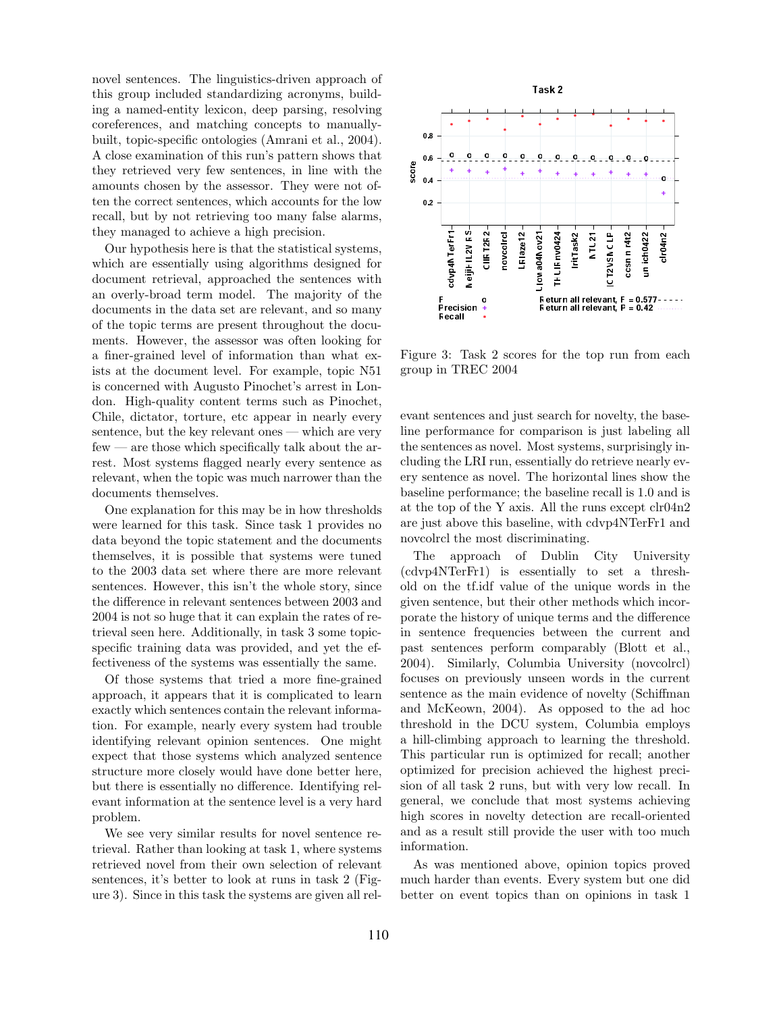novel sentences. The linguistics-driven approach of this group included standardizing acronyms, building a named-entity lexicon, deep parsing, resolving coreferences, and matching concepts to manuallybuilt, topic-specific ontologies (Amrani et al., 2004). A close examination of this run's pattern shows that they retrieved very few sentences, in line with the amounts chosen by the assessor. They were not often the correct sentences, which accounts for the low recall, but by not retrieving too many false alarms, they managed to achieve a high precision.

Our hypothesis here is that the statistical systems, which are essentially using algorithms designed for document retrieval, approached the sentences with an overly-broad term model. The majority of the documents in the data set are relevant, and so many of the topic terms are present throughout the documents. However, the assessor was often looking for a finer-grained level of information than what exists at the document level. For example, topic N51 is concerned with Augusto Pinochet's arrest in London. High-quality content terms such as Pinochet, Chile, dictator, torture, etc appear in nearly every sentence, but the key relevant ones — which are very few — are those which specifically talk about the arrest. Most systems flagged nearly every sentence as relevant, when the topic was much narrower than the documents themselves.

One explanation for this may be in how thresholds were learned for this task. Since task 1 provides no data beyond the topic statement and the documents themselves, it is possible that systems were tuned to the 2003 data set where there are more relevant sentences. However, this isn't the whole story, since the difference in relevant sentences between 2003 and 2004 is not so huge that it can explain the rates of retrieval seen here. Additionally, in task 3 some topicspecific training data was provided, and yet the effectiveness of the systems was essentially the same.

Of those systems that tried a more fine-grained approach, it appears that it is complicated to learn exactly which sentences contain the relevant information. For example, nearly every system had trouble identifying relevant opinion sentences. One might expect that those systems which analyzed sentence structure more closely would have done better here, but there is essentially no difference. Identifying relevant information at the sentence level is a very hard problem.

We see very similar results for novel sentence retrieval. Rather than looking at task 1, where systems retrieved novel from their own selection of relevant sentences, it's better to look at runs in task 2 (Figure 3). Since in this task the systems are given all rel-



Figure 3: Task 2 scores for the top run from each group in TREC 2004

evant sentences and just search for novelty, the baseline performance for comparison is just labeling all the sentences as novel. Most systems, surprisingly including the LRI run, essentially do retrieve nearly every sentence as novel. The horizontal lines show the baseline performance; the baseline recall is 1.0 and is at the top of the Y axis. All the runs except clr04n2 are just above this baseline, with cdvp4NTerFr1 and novcolrcl the most discriminating.

The approach of Dublin City University (cdvp4NTerFr1) is essentially to set a threshold on the tf.idf value of the unique words in the given sentence, but their other methods which incorporate the history of unique terms and the difference in sentence frequencies between the current and past sentences perform comparably (Blott et al., 2004). Similarly, Columbia University (novcolrcl) focuses on previously unseen words in the current sentence as the main evidence of novelty (Schiffman and McKeown, 2004). As opposed to the ad hoc threshold in the DCU system, Columbia employs a hill-climbing approach to learning the threshold. This particular run is optimized for recall; another optimized for precision achieved the highest precision of all task 2 runs, but with very low recall. In general, we conclude that most systems achieving high scores in novelty detection are recall-oriented and as a result still provide the user with too much information.

As was mentioned above, opinion topics proved much harder than events. Every system but one did better on event topics than on opinions in task 1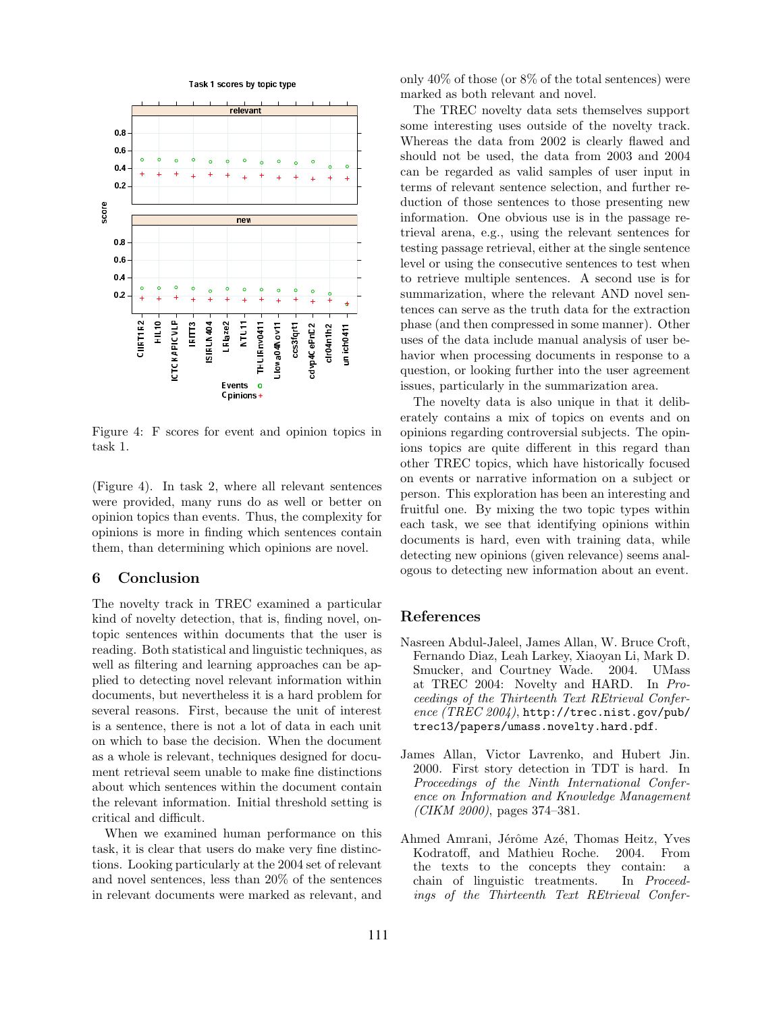

Figure 4: F scores for event and opinion topics in task 1.

(Figure 4). In task 2, where all relevant sentences were provided, many runs do as well or better on opinion topics than events. Thus, the complexity for opinions is more in finding which sentences contain them, than determining which opinions are novel.

## 6 Conclusion

The novelty track in TREC examined a particular kind of novelty detection, that is, finding novel, ontopic sentences within documents that the user is reading. Both statistical and linguistic techniques, as well as filtering and learning approaches can be applied to detecting novel relevant information within documents, but nevertheless it is a hard problem for several reasons. First, because the unit of interest is a sentence, there is not a lot of data in each unit on which to base the decision. When the document as a whole is relevant, techniques designed for document retrieval seem unable to make fine distinctions about which sentences within the document contain the relevant information. Initial threshold setting is critical and difficult.

When we examined human performance on this task, it is clear that users do make very fine distinctions. Looking particularly at the 2004 set of relevant and novel sentences, less than 20% of the sentences in relevant documents were marked as relevant, and only 40% of those (or 8% of the total sentences) were marked as both relevant and novel.

The TREC novelty data sets themselves support some interesting uses outside of the novelty track. Whereas the data from 2002 is clearly flawed and should not be used, the data from 2003 and 2004 can be regarded as valid samples of user input in terms of relevant sentence selection, and further reduction of those sentences to those presenting new information. One obvious use is in the passage retrieval arena, e.g., using the relevant sentences for testing passage retrieval, either at the single sentence level or using the consecutive sentences to test when to retrieve multiple sentences. A second use is for summarization, where the relevant AND novel sentences can serve as the truth data for the extraction phase (and then compressed in some manner). Other uses of the data include manual analysis of user behavior when processing documents in response to a question, or looking further into the user agreement issues, particularly in the summarization area.

The novelty data is also unique in that it deliberately contains a mix of topics on events and on opinions regarding controversial subjects. The opinions topics are quite different in this regard than other TREC topics, which have historically focused on events or narrative information on a subject or person. This exploration has been an interesting and fruitful one. By mixing the two topic types within each task, we see that identifying opinions within documents is hard, even with training data, while detecting new opinions (given relevance) seems analogous to detecting new information about an event.

#### References

- Nasreen Abdul-Jaleel, James Allan, W. Bruce Croft, Fernando Diaz, Leah Larkey, Xiaoyan Li, Mark D. Smucker, and Courtney Wade. 2004. UMass at TREC 2004: Novelty and HARD. In Proceedings of the Thirteenth Text REtrieval Conference (TREC 2004), http://trec.nist.gov/pub/ trec13/papers/umass.novelty.hard.pdf.
- James Allan, Victor Lavrenko, and Hubert Jin. 2000. First story detection in TDT is hard. In Proceedings of the Ninth International Conference on Information and Knowledge Management (CIKM 2000), pages 374–381.
- Ahmed Amrani, Jérôme Azé, Thomas Heitz, Yves Kodratoff, and Mathieu Roche. 2004. From the texts to the concepts they contain: a chain of linguistic treatments. In Proceedings of the Thirteenth Text REtrieval Confer-